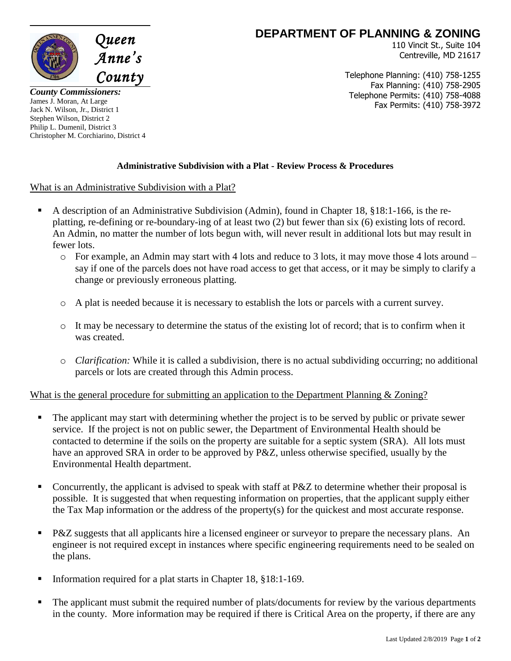

*County Commissioners:* James J. Moran, At Large Jack N. Wilson, Jr., District 1 Stephen Wilson, District 2 Philip L. Dumenil, District 3 Christopher M. Corchiarino, District 4

## **DEPARTMENT OF PLANNING & ZONING**

110 Vincit St., Suite 104 Centreville, MD 21617

Telephone Planning: (410) 758-1255 Fax Planning: (410) 758-2905 Telephone Permits: (410) 758-4088 Fax Permits: (410) 758-3972

## **Administrative Subdivision with a Plat - Review Process & Procedures**

What is an Administrative Subdivision with a Plat?

- A description of an Administrative Subdivision (Admin), found in Chapter 18, §18:1-166, is the replatting, re-defining or re-boundary-ing of at least two (2) but fewer than six (6) existing lots of record. An Admin, no matter the number of lots begun with, will never result in additional lots but may result in fewer lots.
	- o For example, an Admin may start with 4 lots and reduce to 3 lots, it may move those 4 lots around say if one of the parcels does not have road access to get that access, or it may be simply to clarify a change or previously erroneous platting.
	- o A plat is needed because it is necessary to establish the lots or parcels with a current survey.
	- o It may be necessary to determine the status of the existing lot of record; that is to confirm when it was created.
	- o *Clarification:* While it is called a subdivision, there is no actual subdividing occurring; no additional parcels or lots are created through this Admin process.

## What is the general procedure for submitting an application to the Department Planning & Zoning?

- The applicant may start with determining whether the project is to be served by public or private sewer service. If the project is not on public sewer, the Department of Environmental Health should be contacted to determine if the soils on the property are suitable for a septic system (SRA). All lots must have an approved SRA in order to be approved by P&Z, unless otherwise specified, usually by the Environmental Health department.
- Concurrently, the applicant is advised to speak with staff at P&Z to determine whether their proposal is possible. It is suggested that when requesting information on properties, that the applicant supply either the Tax Map information or the address of the property(s) for the quickest and most accurate response.
- **P&Z** suggests that all applicants hire a licensed engineer or surveyor to prepare the necessary plans. An engineer is not required except in instances where specific engineering requirements need to be sealed on the plans.
- Information required for a plat starts in Chapter 18, §18:1-169.
- The applicant must submit the required number of plats/documents for review by the various departments in the county. More information may be required if there is Critical Area on the property, if there are any